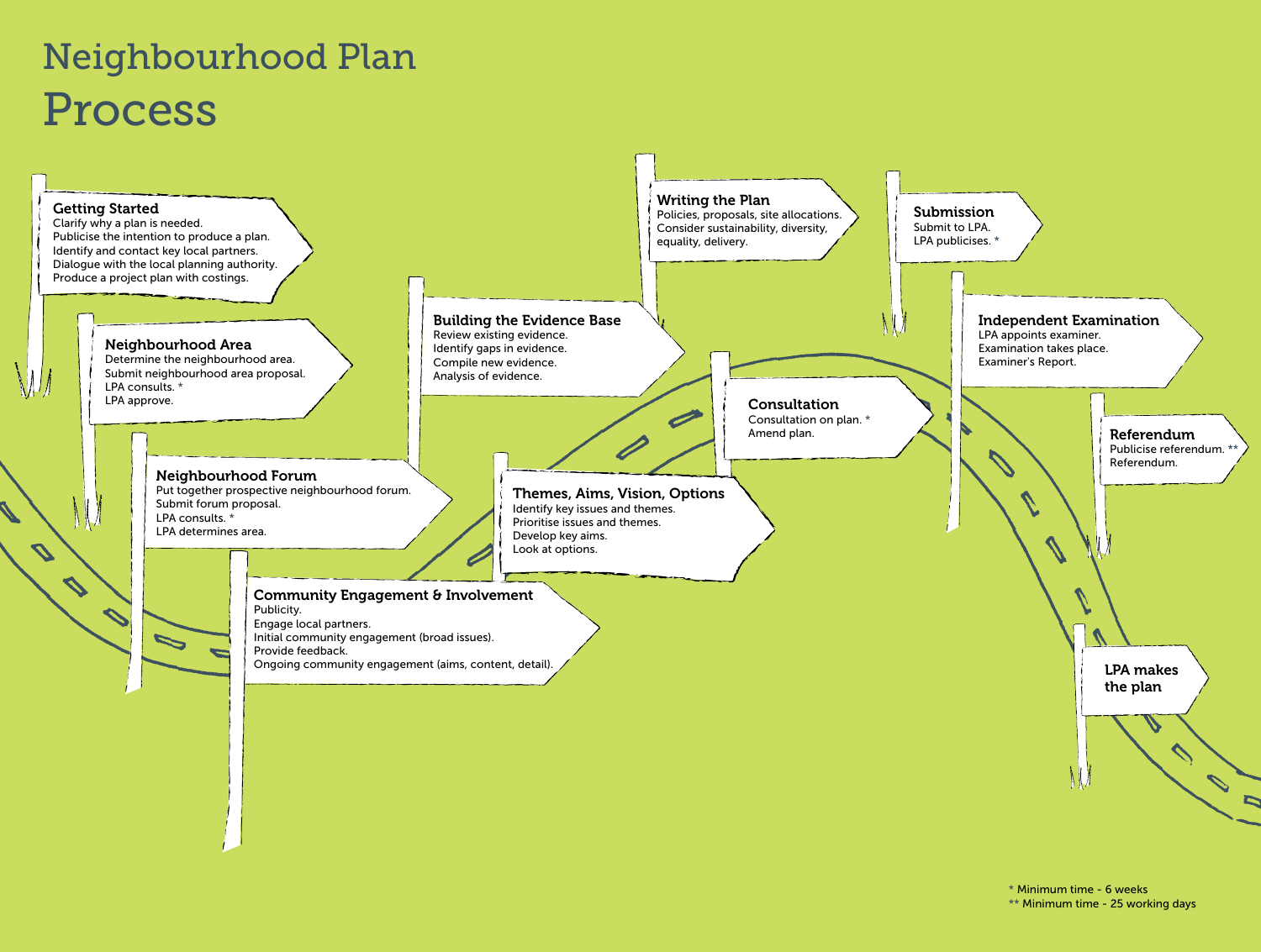# Neighbourhood Plan Process

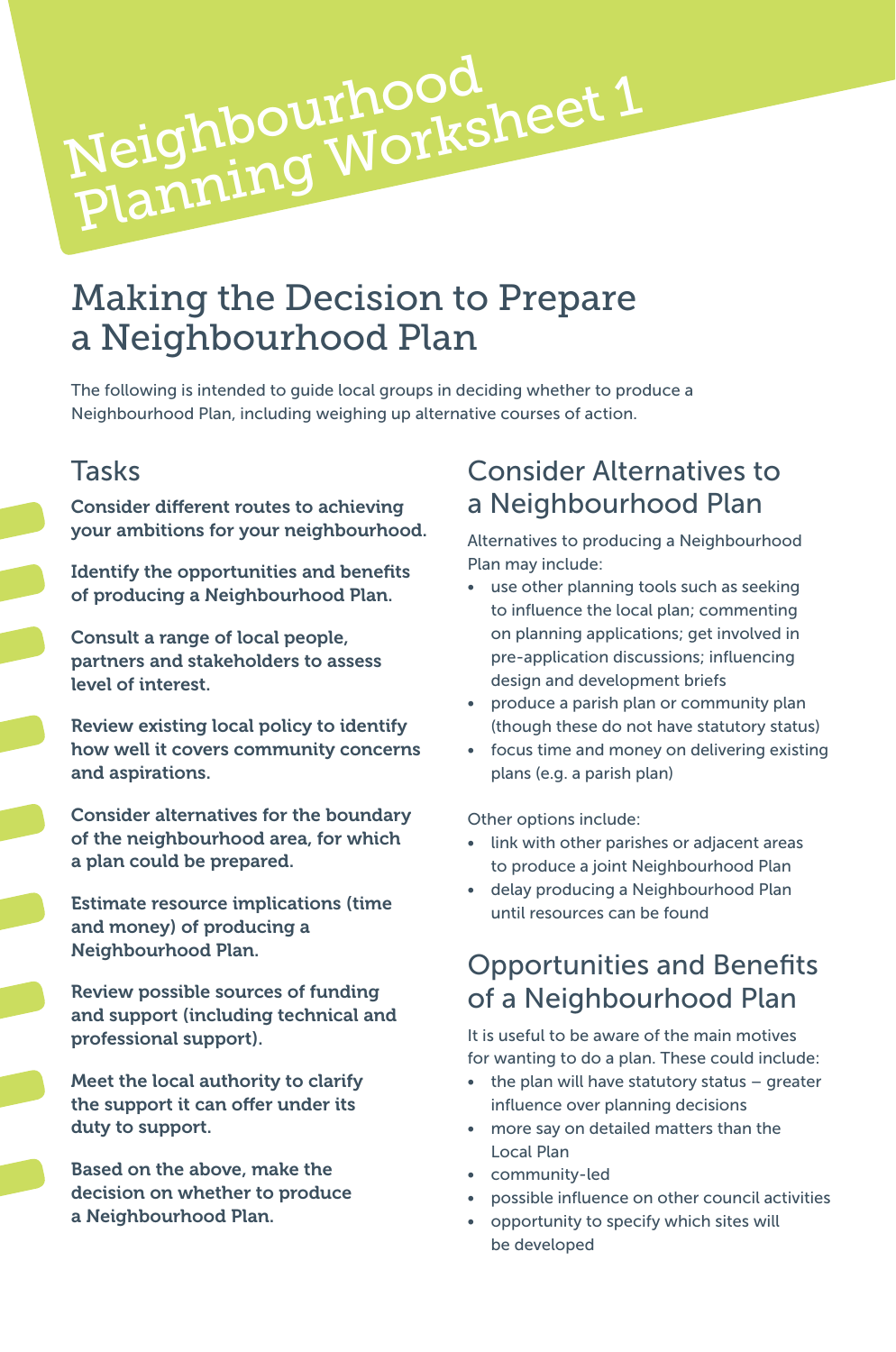# Making the Decision to Prepare a Neighbourhood Plan

Neighbourhood<br>Planning Worksheet 1

The following is intended to guide local groups in deciding whether to produce a Neighbourhood Plan, including weighing up alternative courses of action.

#### Tasks

Consider different routes to achieving your ambitions for your neighbourhood.

Neighbourhood

Identify the opportunities and benefits of producing a Neighbourhood Plan.

Consult a range of local people, partners and stakeholders to assess level of interest.

Review existing local policy to identify how well it covers community concerns and aspirations.

Consider alternatives for the boundary of the neighbourhood area, for which a plan could be prepared.

Estimate resource implications (time and money) of producing a Neighbourhood Plan.

Review possible sources of funding and support (including technical and professional support).

Meet the local authority to clarify the support it can offer under its duty to support.

Based on the above, make the decision on whether to produce a Neighbourhood Plan.

#### Consider Alternatives to a Neighbourhood Plan

Alternatives to producing a Neighbourhood Plan may include:

- use other planning tools such as seeking to influence the local plan; commenting on planning applications; get involved in pre-application discussions; influencing design and development briefs
- produce a parish plan or community plan (though these do not have statutory status)
- focus time and money on delivering existing plans (e.g. a parish plan)

Other options include:

- link with other parishes or adjacent areas to produce a joint Neighbourhood Plan
- delay producing a Neighbourhood Plan until resources can be found

#### Opportunities and Benefits of a Neighbourhood Plan

It is useful to be aware of the main motives for wanting to do a plan. These could include:

- the plan will have statutory status greater influence over planning decisions
- more say on detailed matters than the Local Plan
- community-led
- possible influence on other council activities
- opportunity to specify which sites will be developed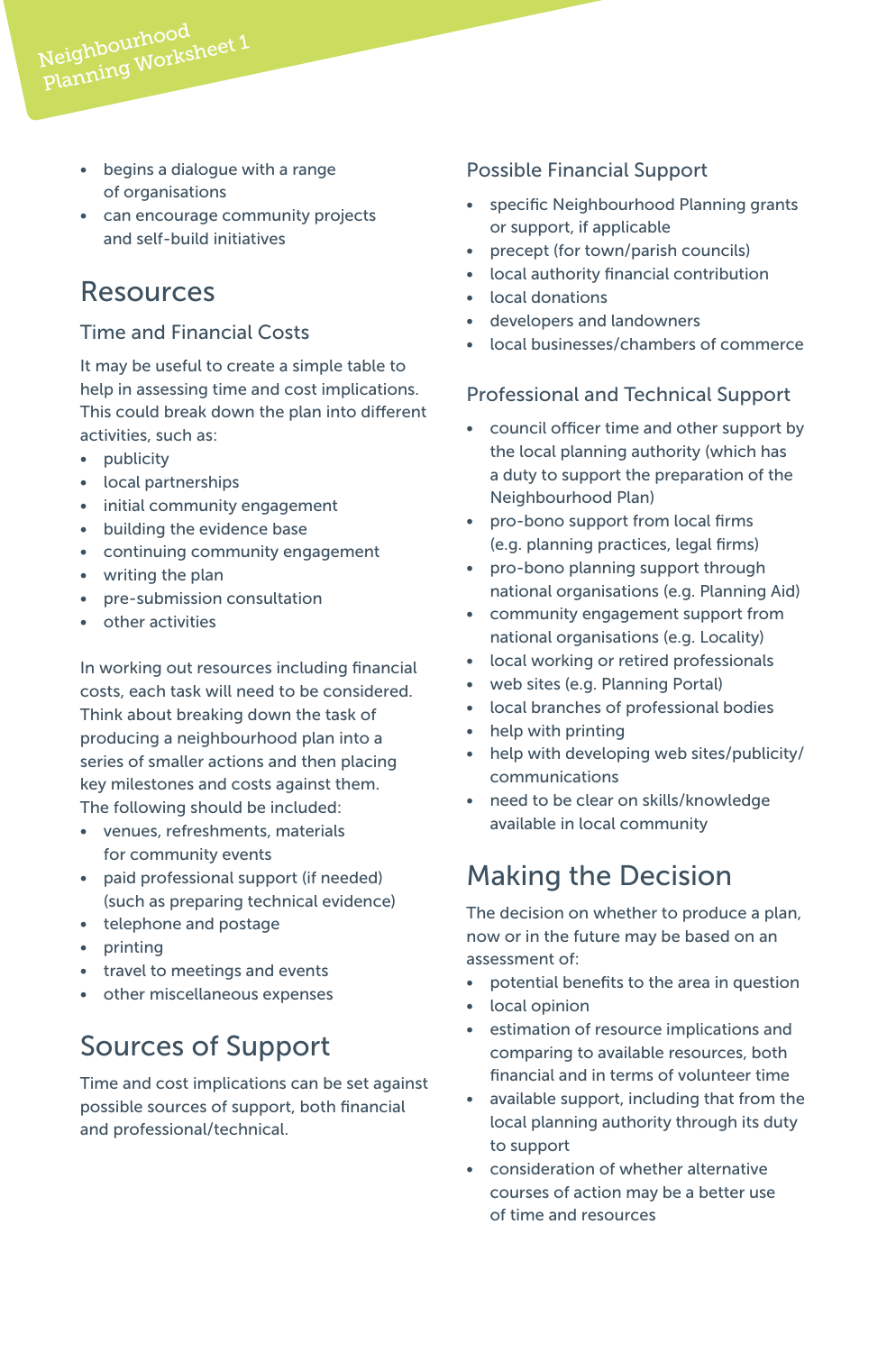- begins a dialogue with a range of organisations
- can encourage community projects and self-build initiatives

#### Resources

Neighbourhood<br>Planning Worksheet 1

#### Time and Financial Costs

It may be useful to create a simple table to help in assessing time and cost implications. This could break down the plan into different activities, such as:

- publicity
- local partnerships
- initial community engagement
- building the evidence base
- continuing community engagement
- writing the plan
- pre-submission consultation
- other activities

In working out resources including financial costs, each task will need to be considered. Think about breaking down the task of producing a neighbourhood plan into a series of smaller actions and then placing key milestones and costs against them. The following should be included:

- venues, refreshments, materials for community events
- paid professional support (if needed) (such as preparing technical evidence)
- telephone and postage
- printing
- travel to meetings and events
- other miscellaneous expenses

## Sources of Support

Time and cost implications can be set against possible sources of support, both financial and professional/technical.

#### Possible Financial Support

- specific Neighbourhood Planning grants or support, if applicable
- precept (for town/parish councils)
- local authority financial contribution
- local donations
- developers and landowners
- local businesses/chambers of commerce

#### Professional and Technical Support

- council officer time and other support by the local planning authority (which has a duty to support the preparation of the Neighbourhood Plan)
- pro-bono support from local firms (e.g. planning practices, legal firms)
- pro-bono planning support through national organisations (e.g. Planning Aid)
- community engagement support from national organisations (e.g. Locality)
- local working or retired professionals
- web sites (e.g. Planning Portal)
- local branches of professional bodies
- help with printing
- help with developing web sites/publicity/ communications
- need to be clear on skills/knowledge available in local community

#### Making the Decision

The decision on whether to produce a plan, now or in the future may be based on an assessment of:

- potential benefits to the area in question
- local opinion
- estimation of resource implications and comparing to available resources, both financial and in terms of volunteer time
- available support, including that from the local planning authority through its duty to support
- consideration of whether alternative courses of action may be a better use of time and resources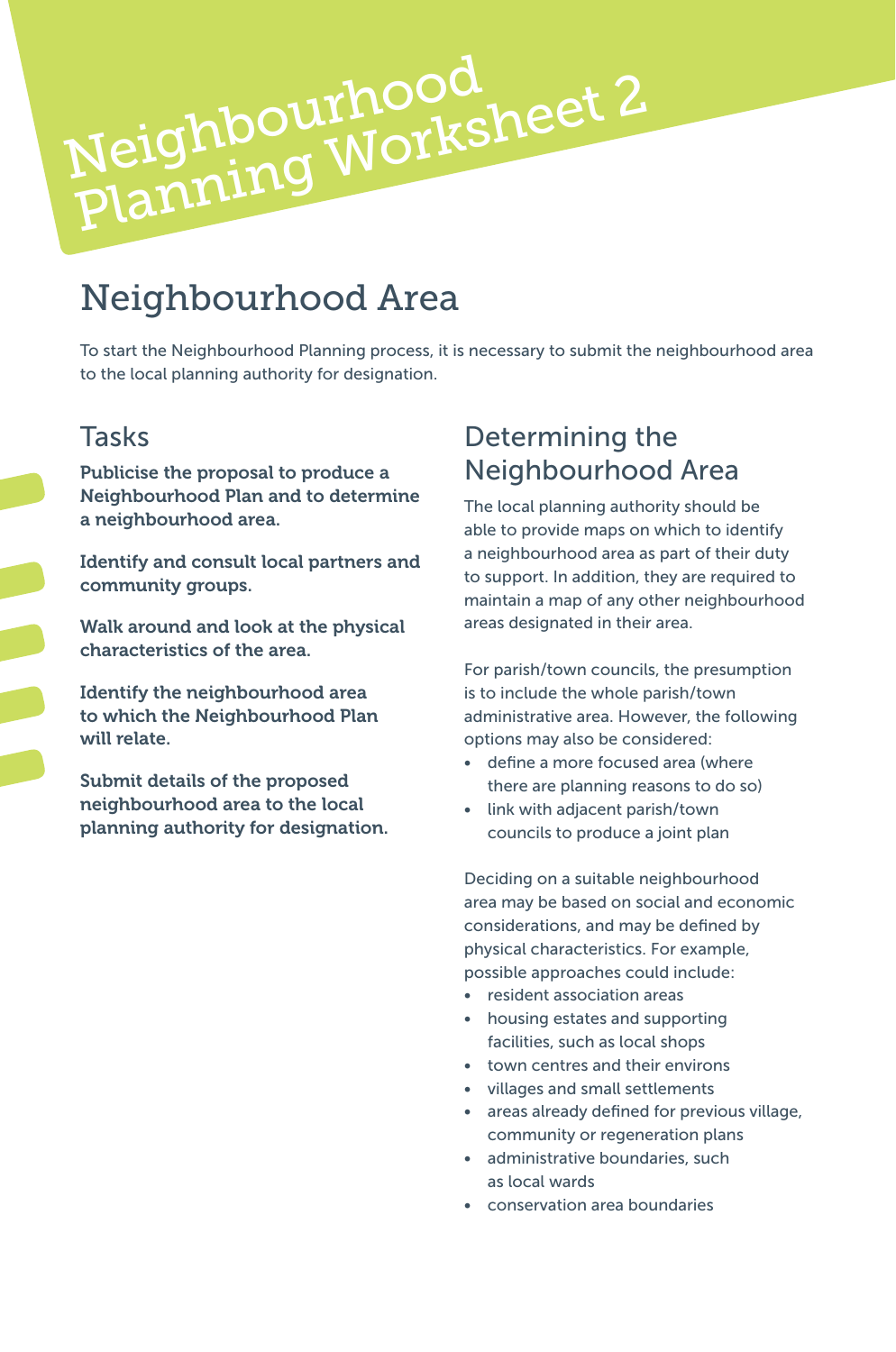# Neighbourhood Area

Neighbourhood

Neighbourhood<br>Planning Worksheet 2

To start the Neighbourhood Planning process, it is necessary to submit the neighbourhood area to the local planning authority for designation.

#### Tasks

Publicise the proposal to produce a Neighbourhood Plan and to determine a neighbourhood area.

Identify and consult local partners and community groups.

Walk around and look at the physical characteristics of the area.

Identify the neighbourhood area to which the Neighbourhood Plan will relate.

Submit details of the proposed neighbourhood area to the local planning authority for designation.

#### Determining the Neighbourhood Area

The local planning authority should be able to provide maps on which to identify a neighbourhood area as part of their duty to support. In addition, they are required to maintain a map of any other neighbourhood areas designated in their area.

For parish/town councils, the presumption is to include the whole parish/town administrative area. However, the following options may also be considered:

- define a more focused area (where there are planning reasons to do so)
- link with adjacent parish/town councils to produce a joint plan

Deciding on a suitable neighbourhood area may be based on social and economic considerations, and may be defined by physical characteristics. For example, possible approaches could include:

- resident association areas
- housing estates and supporting facilities, such as local shops
- town centres and their environs
- villages and small settlements
- areas already defined for previous village, community or regeneration plans
- administrative boundaries, such as local wards
- conservation area boundaries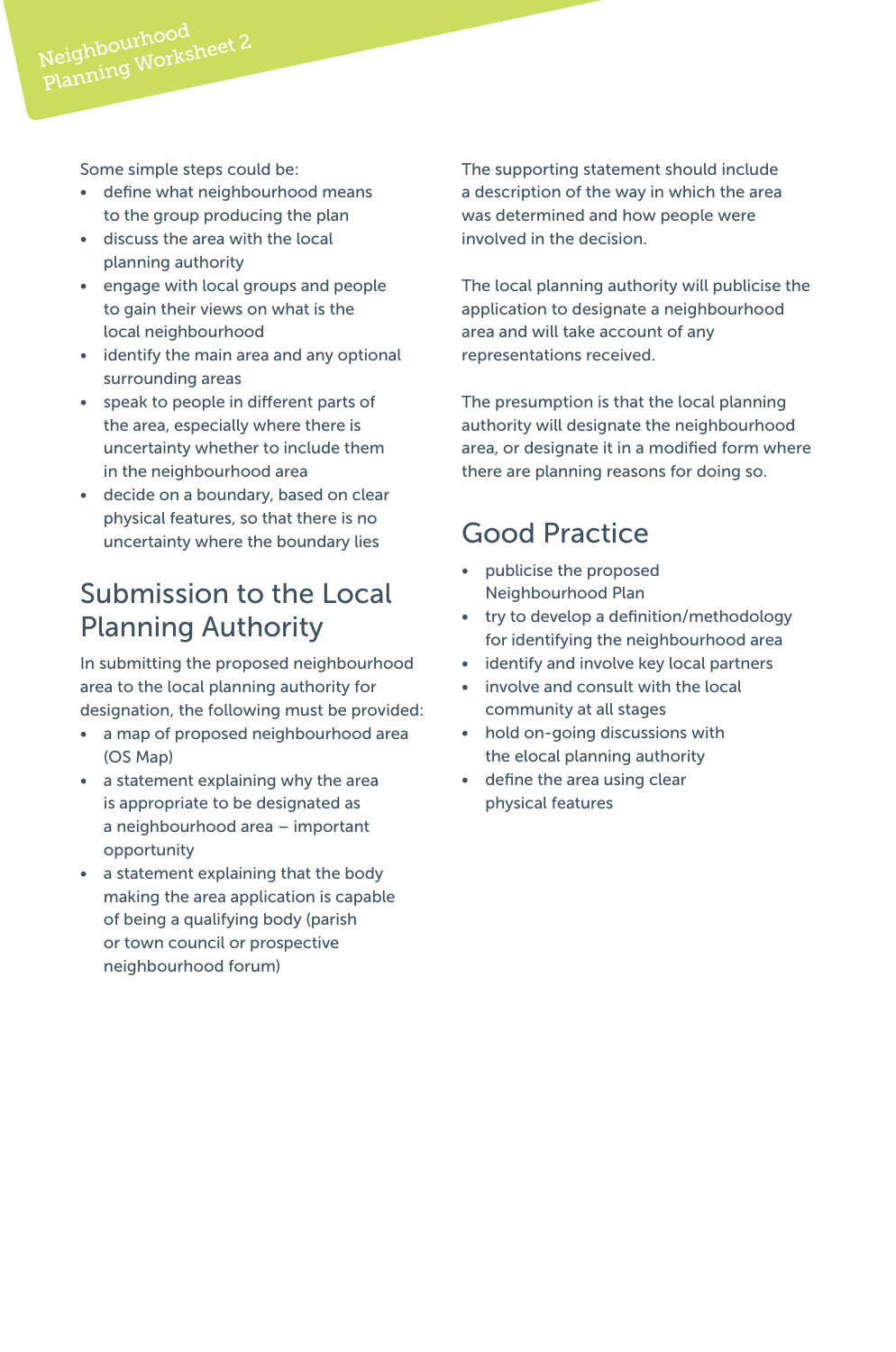Some simple steps could be:

- define what neighbourhood means to the group producing the plan
- discuss the area with the local planning authority
- engage with local groups and people to gain their views on what is the local neighbourhood
- identify the main area and any optional surrounding areas
- speak to people in different parts of the area, especially where there is uncertainty whether to include them in the neighbourhood area
- decide on a boundary, based on clear physical features, so that there is no uncertainty where the boundary lies

## Submission to the Local Planning Authority

In submitting the proposed neighbourhood area to the local planning authority for designation, the following must be provided:

- a map of proposed neighbourhood area (OS Map)
- a statement explaining why the area is appropriate to be designated as a neighbourhood area – important opportunity
- a statement explaining that the body making the area application is capable of being a qualifying body (parish or town council or prospective neighbourhood forum)

The supporting statement should include a description of the way in which the area was determined and how people were involved in the decision.

The local planning authority will publicise the application to designate a neighbourhood area and will take account of any representations received.

The presumption is that the local planning authority will designate the neighbourhood area, or designate it in a modified form where there are planning reasons for doing so.

# Good Practice

- publicise the proposed Neighbourhood Plan
- try to develop a definition/methodology for identifying the neighbourhood area
- identify and involve key local partners
- involve and consult with the local community at all stages
- hold on-going discussions with the elocal planning authority
- define the area using clear physical features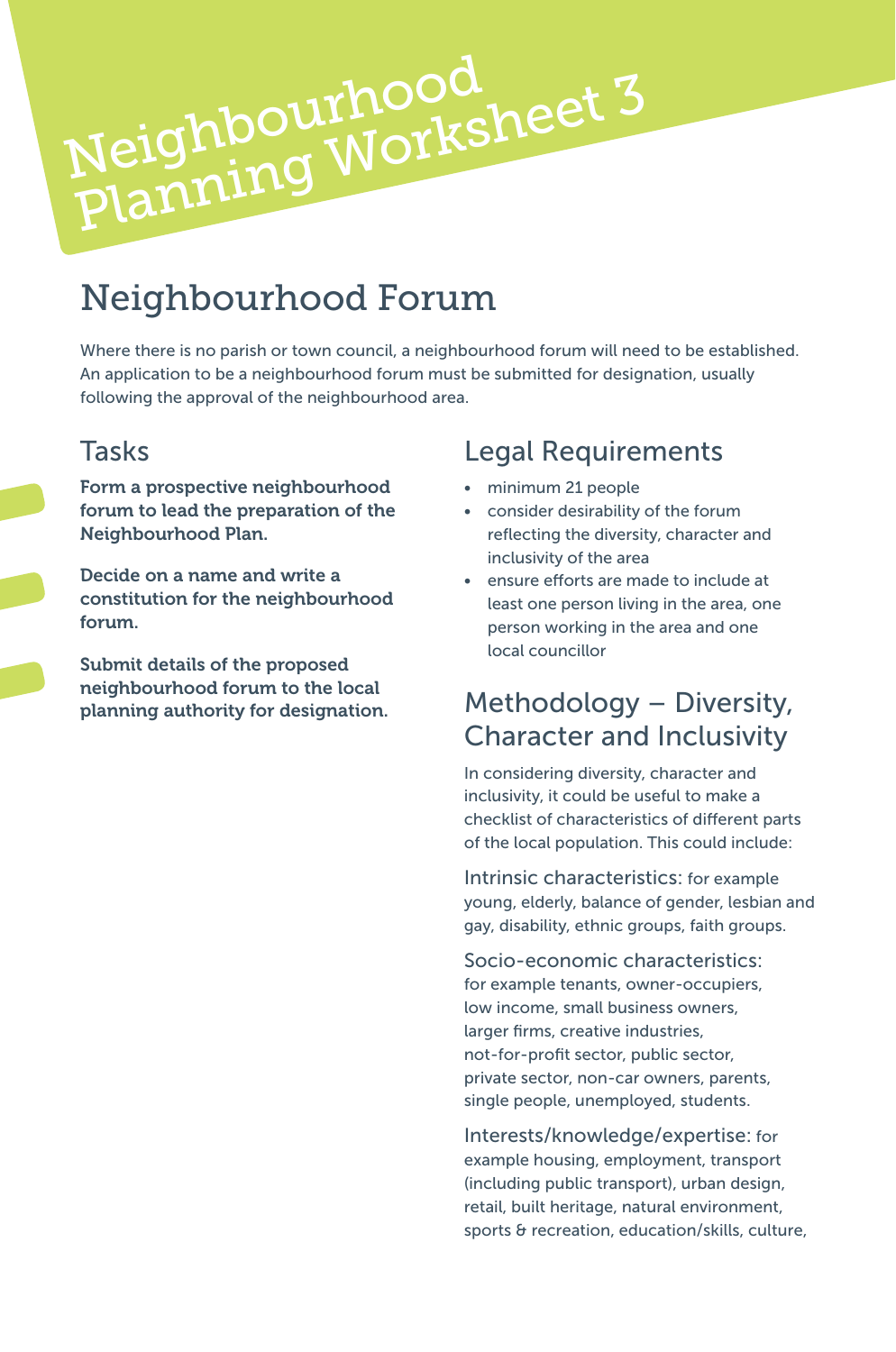# Neighbourhood Neighbourhood<br>Planning Worksheet 3

# Neighbourhood Forum

Where there is no parish or town council, a neighbourhood forum will need to be established. An application to be a neighbourhood forum must be submitted for designation, usually following the approval of the neighbourhood area.

#### Tasks

Form a prospective neighbourhood forum to lead the preparation of the Neighbourhood Plan.

Decide on a name and write a constitution for the neighbourhood forum.

Submit details of the proposed neighbourhood forum to the local planning authority for designation.

## Legal Requirements

- minimum 21 people
- consider desirability of the forum reflecting the diversity, character and inclusivity of the area
- ensure efforts are made to include at least one person living in the area, one person working in the area and one local councillor

## Methodology – Diversity, Character and Inclusivity

In considering diversity, character and inclusivity, it could be useful to make a checklist of characteristics of different parts of the local population. This could include:

Intrinsic characteristics: for example young, elderly, balance of gender, lesbian and gay, disability, ethnic groups, faith groups.

Socio-economic characteristics: for example tenants, owner-occupiers, low income, small business owners, larger firms, creative industries, not-for-profit sector, public sector, private sector, non-car owners, parents, single people, unemployed, students.

Interests/knowledge/expertise: for example housing, employment, transport (including public transport), urban design, retail, built heritage, natural environment, sports & recreation, education/skills, culture,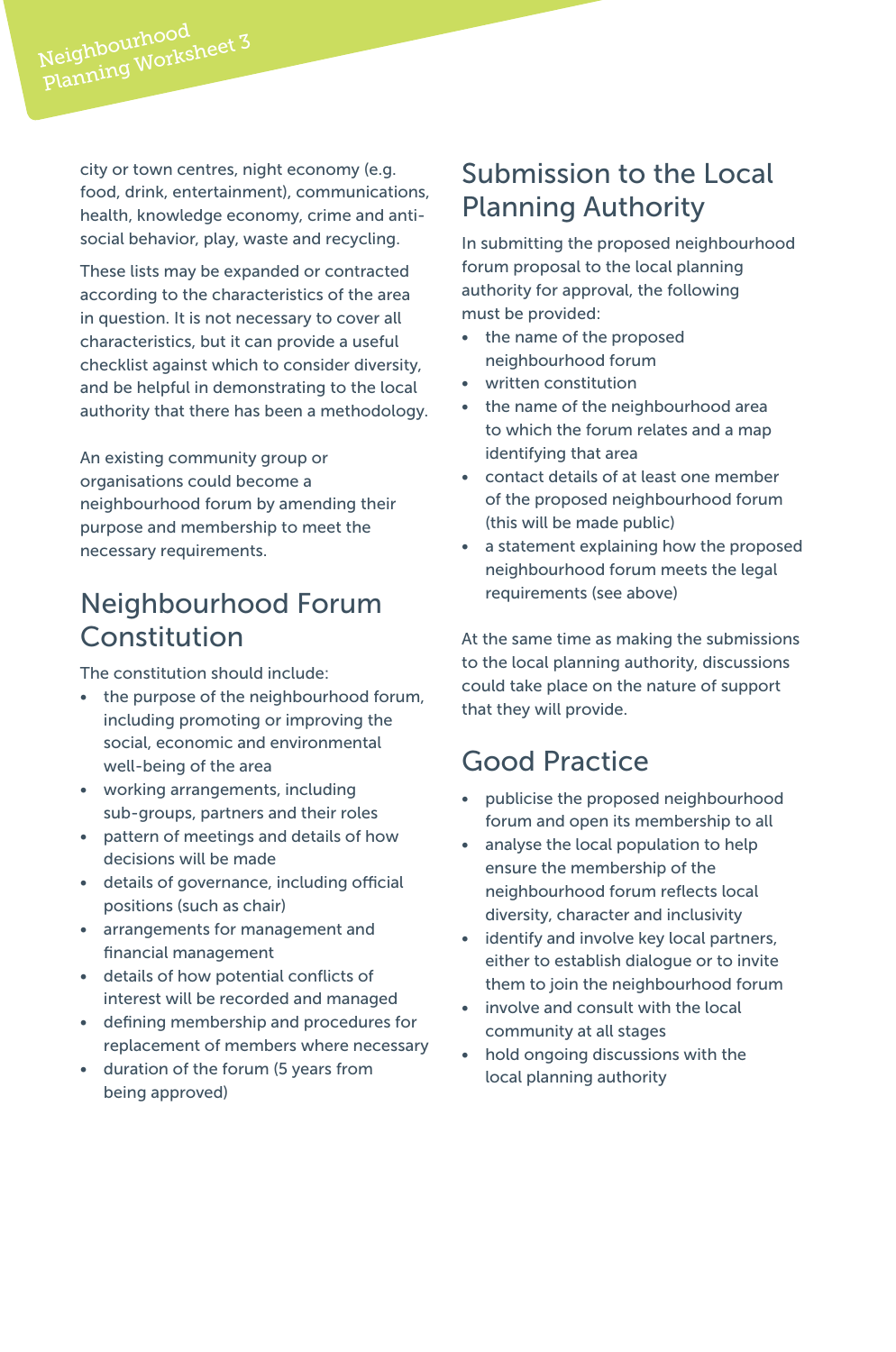city or town centres, night economy (e.g. food, drink, entertainment), communications, health, knowledge economy, crime and antisocial behavior, play, waste and recycling.

These lists may be expanded or contracted according to the characteristics of the area in question. It is not necessary to cover all characteristics, but it can provide a useful checklist against which to consider diversity, and be helpful in demonstrating to the local authority that there has been a methodology.

An existing community group or organisations could become a neighbourhood forum by amending their purpose and membership to meet the necessary requirements.

## Neighbourhood Forum Constitution

The constitution should include:

- the purpose of the neighbourhood forum, including promoting or improving the social, economic and environmental well-being of the area
- working arrangements, including sub-groups, partners and their roles
- pattern of meetings and details of how decisions will be made
- details of governance, including official positions (such as chair)
- arrangements for management and financial management
- details of how potential conflicts of interest will be recorded and managed
- defining membership and procedures for replacement of members where necessary
- duration of the forum (5 years from being approved)

## Submission to the Local Planning Authority

In submitting the proposed neighbourhood forum proposal to the local planning authority for approval, the following must be provided:

- the name of the proposed neighbourhood forum
- written constitution
- the name of the neighbourhood area to which the forum relates and a map identifying that area
- contact details of at least one member of the proposed neighbourhood forum (this will be made public)
- a statement explaining how the proposed neighbourhood forum meets the legal requirements (see above)

At the same time as making the submissions to the local planning authority, discussions could take place on the nature of support that they will provide.

#### Good Practice

- publicise the proposed neighbourhood forum and open its membership to all
- analyse the local population to help ensure the membership of the neighbourhood forum reflects local diversity, character and inclusivity
- identify and involve key local partners, either to establish dialogue or to invite them to join the neighbourhood forum
- involve and consult with the local community at all stages
- hold ongoing discussions with the local planning authority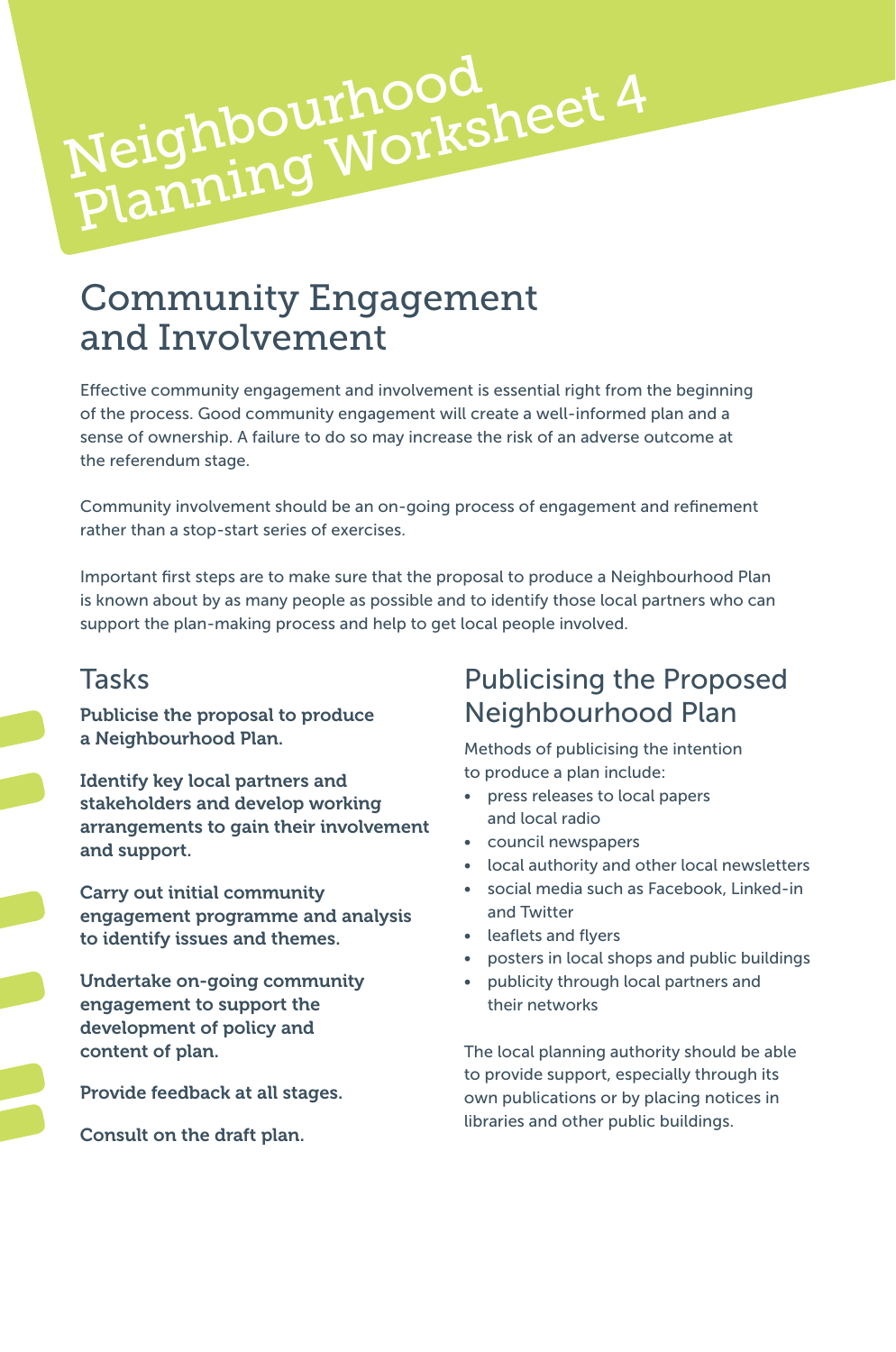# Community Engagement and Involvement

Neighbourhood<br>Planning Worksheet 4

Neighbourhood

Effective community engagement and involvement is essential right from the beginning of the process. Good community engagement will create a well-informed plan and a sense of ownership. A failure to do so may increase the risk of an adverse outcome at the referendum stage.

Community involvement should be an on-going process of engagement and refinement rather than a stop-start series of exercises.

Important first steps are to make sure that the proposal to produce a Neighbourhood Plan is known about by as many people as possible and to identify those local partners who can support the plan-making process and help to get local people involved.

#### Tasks

Publicise the proposal to produce a Neighbourhood Plan.

Identify key local partners and stakeholders and develop working arrangements to gain their involvement and support.

Carry out initial community engagement programme and analysis to identify issues and themes.

Undertake on-going community engagement to support the development of policy and content of plan.

Provide feedback at all stages.

Consult on the draft plan.

## Publicising the Proposed Neighbourhood Plan

Methods of publicising the intention to produce a plan include:

- press releases to local papers and local radio
- council newspapers
- local authority and other local newsletters
- social media such as Facebook, Linked-in and Twitter
- leaflets and flyers
- posters in local shops and public buildings
- publicity through local partners and their networks

The local planning authority should be able to provide support, especially through its own publications or by placing notices in libraries and other public buildings.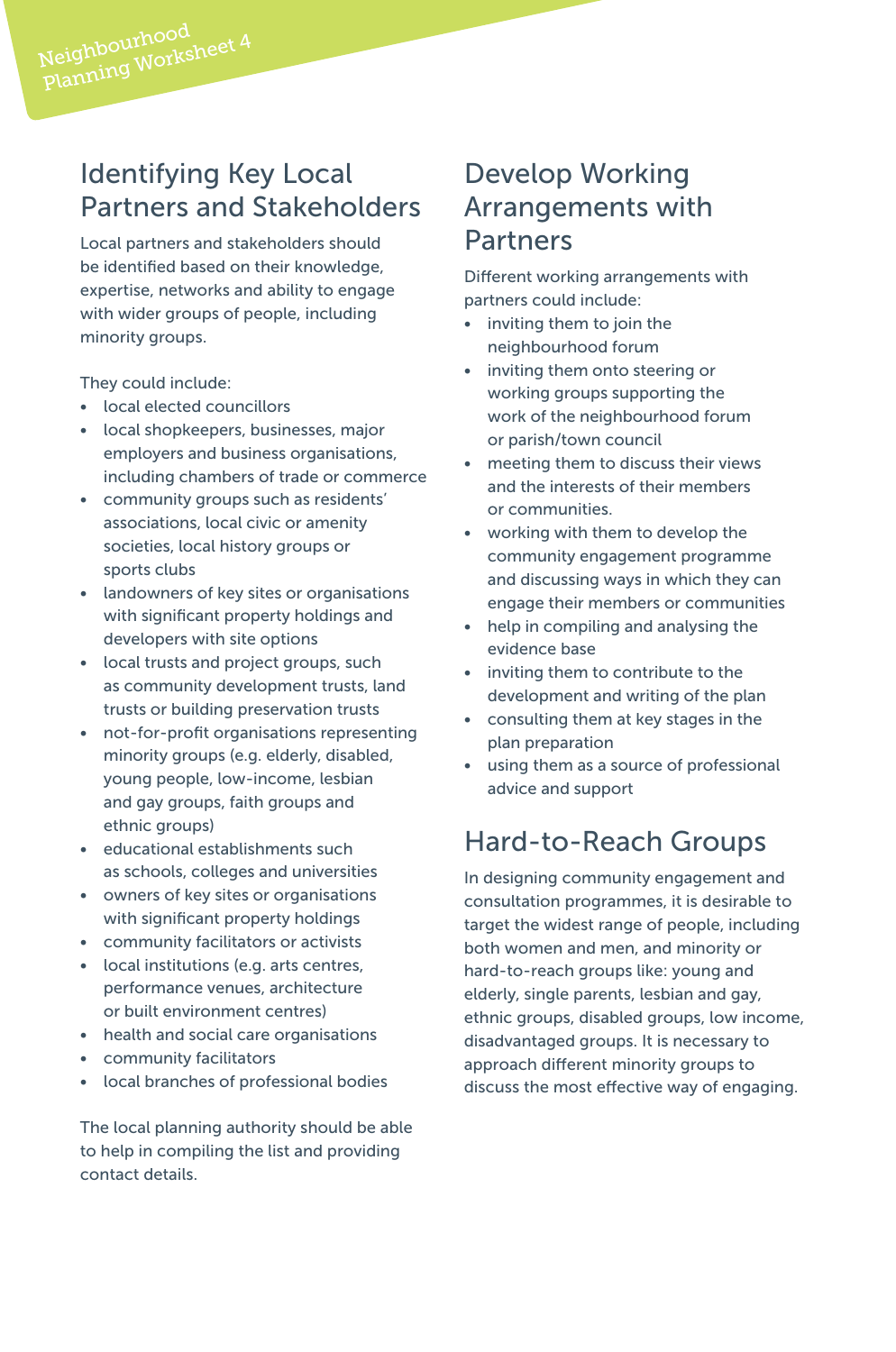## Identifying Key Local Partners and Stakeholders

Local partners and stakeholders should be identified based on their knowledge, expertise, networks and ability to engage with wider groups of people, including minority groups.

They could include:

- local elected councillors
- local shopkeepers, businesses, major employers and business organisations, including chambers of trade or commerce
- community groups such as residents' associations, local civic or amenity societies, local history groups or sports clubs
- landowners of key sites or organisations with significant property holdings and developers with site options
- local trusts and project groups, such as community development trusts, land trusts or building preservation trusts
- not-for-profit organisations representing minority groups (e.g. elderly, disabled, young people, low-income, lesbian and gay groups, faith groups and ethnic groups)
- educational establishments such as schools, colleges and universities
- owners of key sites or organisations with significant property holdings
- community facilitators or activists
- local institutions (e.g. arts centres, performance venues, architecture or built environment centres)
- health and social care organisations
- community facilitators
- local branches of professional bodies

The local planning authority should be able to help in compiling the list and providing contact details.

#### Develop Working Arrangements with Partners

Different working arrangements with partners could include:

- inviting them to join the neighbourhood forum
- inviting them onto steering or working groups supporting the work of the neighbourhood forum or parish/town council
- meeting them to discuss their views and the interests of their members or communities.
- working with them to develop the community engagement programme and discussing ways in which they can engage their members or communities
- help in compiling and analysing the evidence base
- inviting them to contribute to the development and writing of the plan
- consulting them at key stages in the plan preparation
- using them as a source of professional advice and support

## Hard-to-Reach Groups

In designing community engagement and consultation programmes, it is desirable to target the widest range of people, including both women and men, and minority or hard-to-reach groups like: young and elderly, single parents, lesbian and gay, ethnic groups, disabled groups, low income, disadvantaged groups. It is necessary to approach different minority groups to discuss the most effective way of engaging.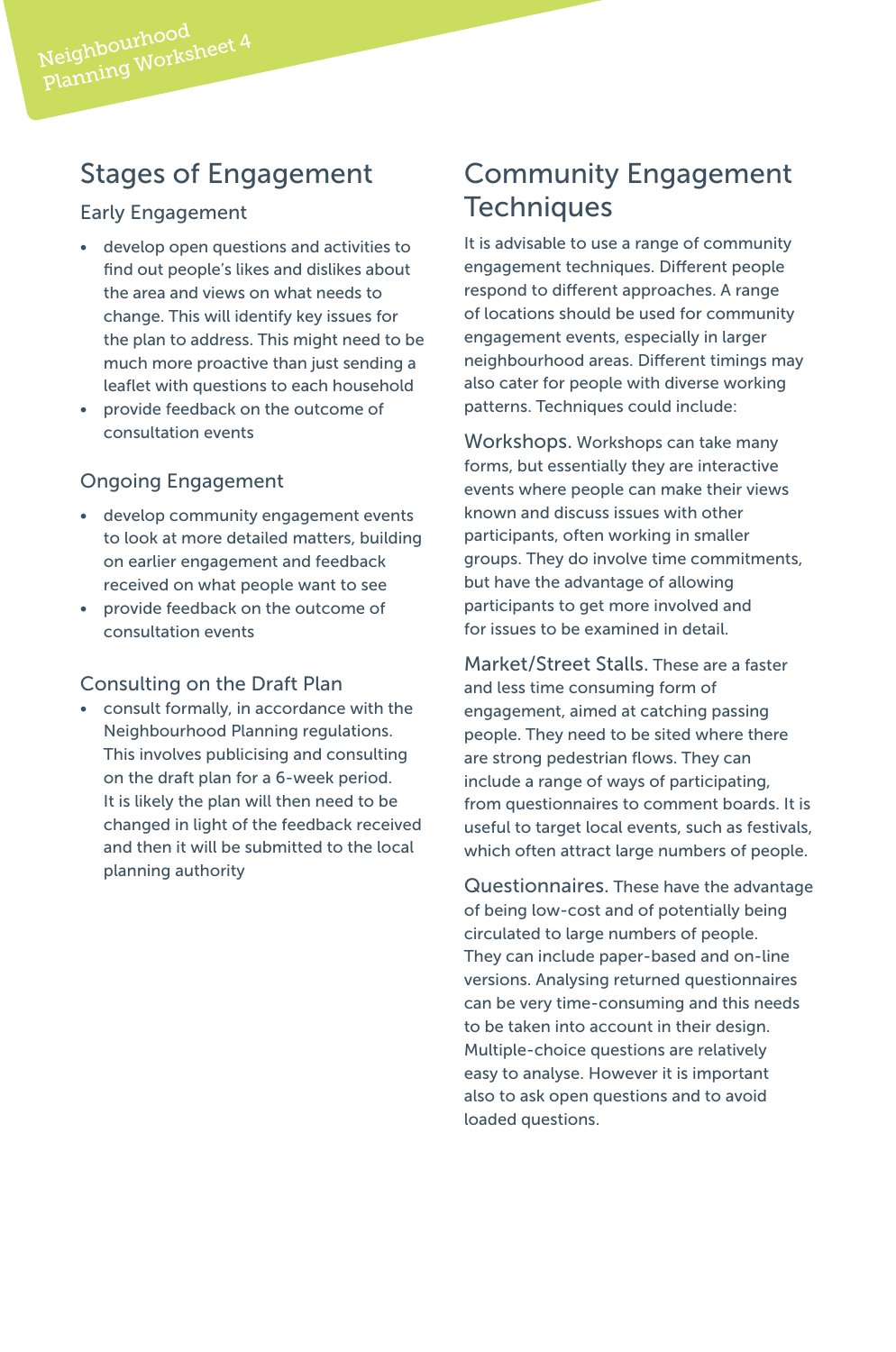#### Stages of Engagement

#### Early Engagement

- develop open questions and activities to find out people's likes and dislikes about the area and views on what needs to change. This will identify key issues for the plan to address. This might need to be much more proactive than just sending a leaflet with questions to each household
- provide feedback on the outcome of consultation events

#### Ongoing Engagement

- develop community engagement events to look at more detailed matters, building on earlier engagement and feedback received on what people want to see
- provide feedback on the outcome of consultation events

#### Consulting on the Draft Plan

• consult formally, in accordance with the Neighbourhood Planning regulations. This involves publicising and consulting on the draft plan for a 6-week period. It is likely the plan will then need to be changed in light of the feedback received and then it will be submitted to the local planning authority

### Community Engagement **Techniques**

It is advisable to use a range of community engagement techniques. Different people respond to different approaches. A range of locations should be used for community engagement events, especially in larger neighbourhood areas. Different timings may also cater for people with diverse working patterns. Techniques could include:

Workshops. Workshops can take many forms, but essentially they are interactive events where people can make their views known and discuss issues with other participants, often working in smaller groups. They do involve time commitments, but have the advantage of allowing participants to get more involved and for issues to be examined in detail.

Market/Street Stalls. These are a faster and less time consuming form of engagement, aimed at catching passing people. They need to be sited where there are strong pedestrian flows. They can include a range of ways of participating, from questionnaires to comment boards. It is useful to target local events, such as festivals, which often attract large numbers of people.

Questionnaires. These have the advantage of being low-cost and of potentially being circulated to large numbers of people. They can include paper-based and on-line versions. Analysing returned questionnaires can be very time-consuming and this needs to be taken into account in their design. Multiple-choice questions are relatively easy to analyse. However it is important also to ask open questions and to avoid loaded questions.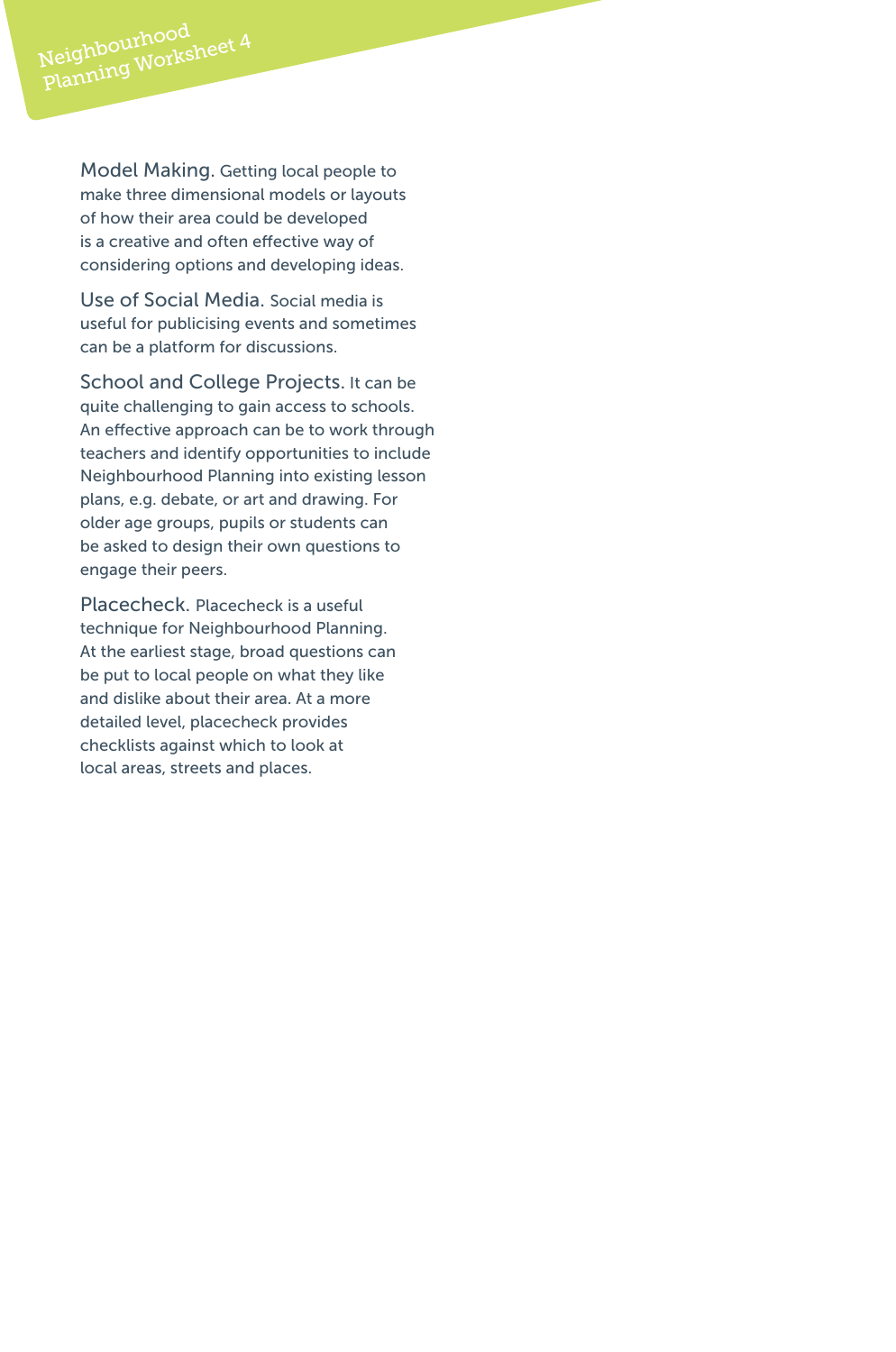Model Making. Getting local people to make three dimensional models or layouts of how their area could be developed is a creative and often effective way of considering options and developing ideas.

Use of Social Media. Social media is useful for publicising events and sometimes can be a platform for discussions.

School and College Projects. It can be quite challenging to gain access to schools. An effective approach can be to work through teachers and identify opportunities to include Neighbourhood Planning into existing lesson plans, e.g. debate, or art and drawing. For older age groups, pupils or students can be asked to design their own questions to engage their peers.

Placecheck. Placecheck is a useful technique for Neighbourhood Planning. At the earliest stage, broad questions can be put to local people on what they like and dislike about their area. At a more detailed level, placecheck provides checklists against which to look at local areas, streets and places.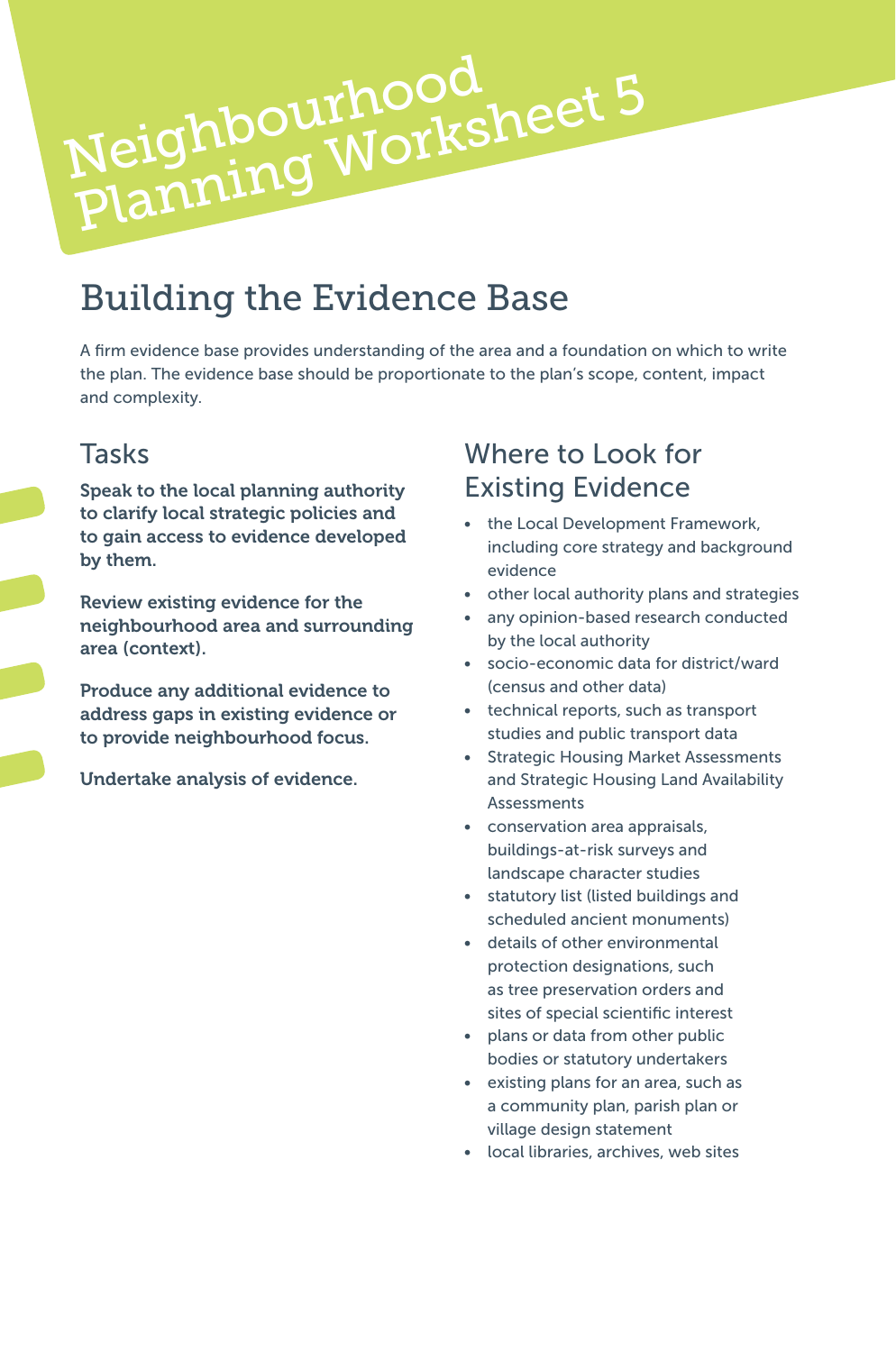

# Building the Evidence Base

A firm evidence base provides understanding of the area and a foundation on which to write the plan. The evidence base should be proportionate to the plan's scope, content, impact and complexity.

#### Tasks

Speak to the local planning authority to clarify local strategic policies and to gain access to evidence developed by them.

Review existing evidence for the neighbourhood area and surrounding area (context).

Produce any additional evidence to address gaps in existing evidence or to provide neighbourhood focus.

Undertake analysis of evidence.

## Where to Look for Existing Evidence

- the Local Development Framework, including core strategy and background evidence
- other local authority plans and strategies
- any opinion-based research conducted by the local authority
- socio-economic data for district/ward (census and other data)
- technical reports, such as transport studies and public transport data
- Strategic Housing Market Assessments and Strategic Housing Land Availability Assessments
- conservation area appraisals, buildings-at-risk surveys and landscape character studies
- statutory list (listed buildings and scheduled ancient monuments)
- details of other environmental protection designations, such as tree preservation orders and sites of special scientific interest
- plans or data from other public bodies or statutory undertakers
- existing plans for an area, such as a community plan, parish plan or village design statement
- local libraries, archives, web sites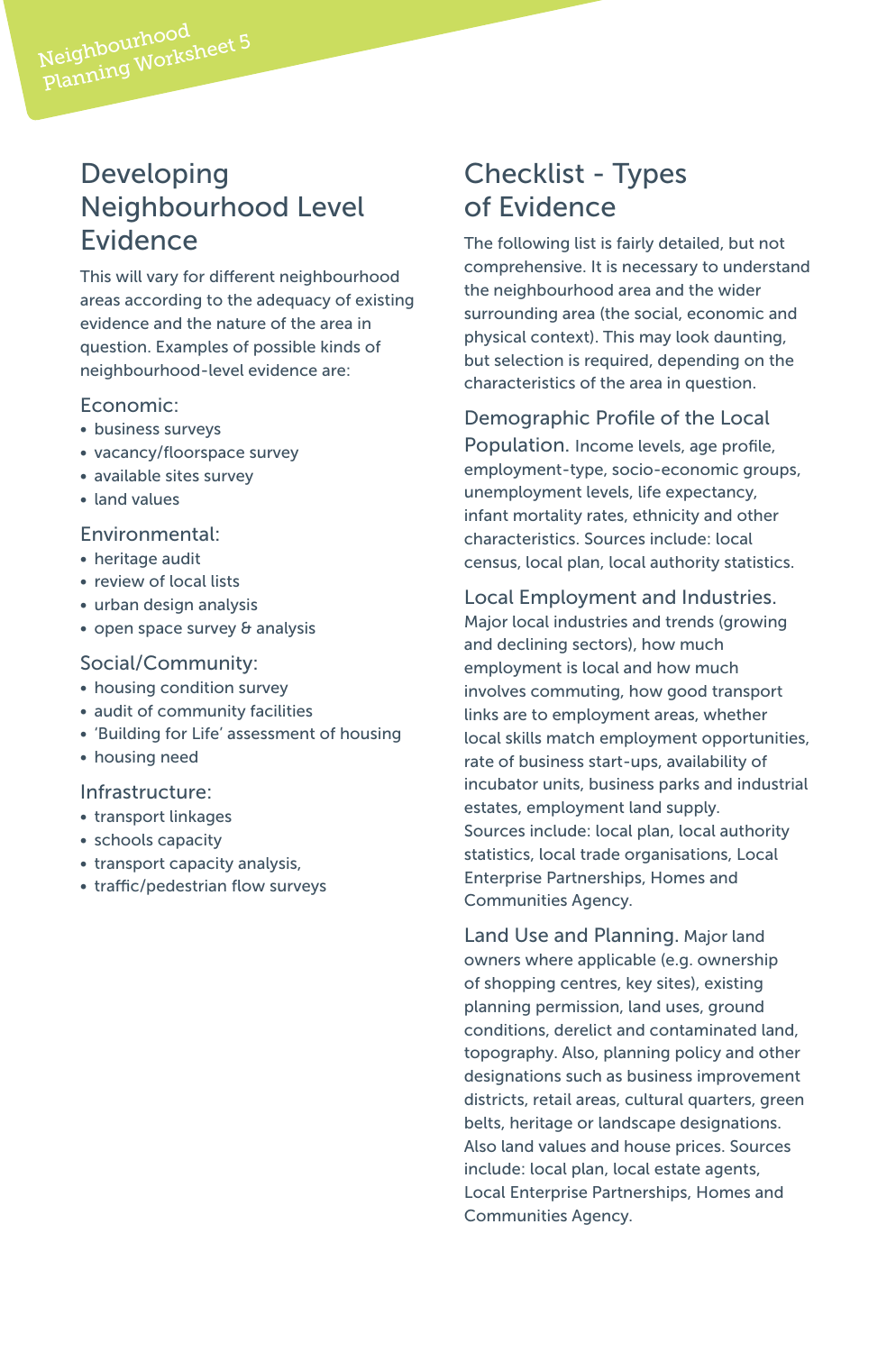#### Developing Neighbourhood Level Evidence

This will vary for different neighbourhood areas according to the adequacy of existing evidence and the nature of the area in question. Examples of possible kinds of neighbourhood-level evidence are:

#### Economic:

- business surveys
- vacancy/floorspace survey
- available sites survey
- land values

#### Environmental:

- heritage audit
- review of local lists
- urban design analysis
- open space survey & analysis

#### Social/Community:

- housing condition survey
- audit of community facilities
- 'Building for Life' assessment of housing
- housing need

#### Infrastructure:

- transport linkages
- schools capacity
- transport capacity analysis,
- traffic/pedestrian flow surveys

#### Checklist - Types of Evidence

The following list is fairly detailed, but not comprehensive. It is necessary to understand the neighbourhood area and the wider surrounding area (the social, economic and physical context). This may look daunting, but selection is required, depending on the characteristics of the area in question.

#### Demographic Profile of the Local

Population. Income levels, age profile, employment-type, socio-economic groups, unemployment levels, life expectancy, infant mortality rates, ethnicity and other characteristics. Sources include: local census, local plan, local authority statistics.

Local Employment and Industries. Major local industries and trends (growing and declining sectors), how much employment is local and how much involves commuting, how good transport links are to employment areas, whether local skills match employment opportunities, rate of business start-ups, availability of incubator units, business parks and industrial estates, employment land supply. Sources include: local plan, local authority statistics, local trade organisations, Local Enterprise Partnerships, Homes and Communities Agency.

Land Use and Planning. Major land owners where applicable (e.g. ownership of shopping centres, key sites), existing planning permission, land uses, ground conditions, derelict and contaminated land, topography. Also, planning policy and other designations such as business improvement districts, retail areas, cultural quarters, green belts, heritage or landscape designations. Also land values and house prices. Sources include: local plan, local estate agents, Local Enterprise Partnerships, Homes and Communities Agency.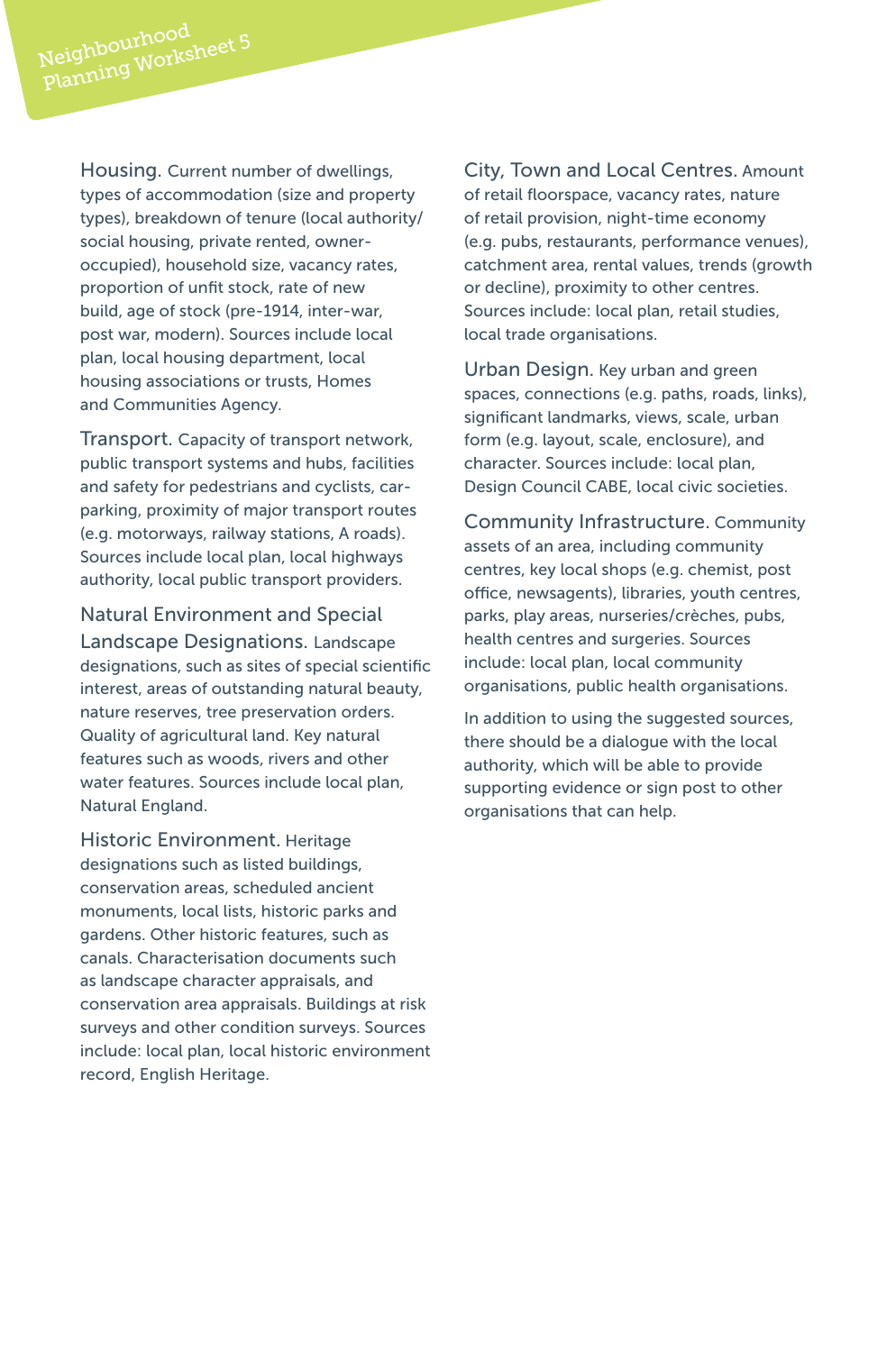Housing. Current number of dwellings, types of accommodation (size and property types), breakdown of tenure (local authority/ social housing, private rented, owneroccupied), household size, vacancy rates, proportion of unfit stock, rate of new build, age of stock (pre-1914, inter-war, post war, modern). Sources include local plan, local housing department, local housing associations or trusts, Homes and Communities Agency.

Transport. Capacity of transport network, public transport systems and hubs, facilities and safety for pedestrians and cyclists, carparking, proximity of major transport routes (e.g. motorways, railway stations, A roads). Sources include local plan, local highways authority, local public transport providers.

Natural Environment and Special Landscape Designations. Landscape designations, such as sites of special scientific interest, areas of outstanding natural beauty, nature reserves, tree preservation orders. Quality of agricultural land. Key natural features such as woods, rivers and other water features. Sources include local plan, Natural England.

Historic Environment. Heritage designations such as listed buildings, conservation areas, scheduled ancient monuments, local lists, historic parks and gardens. Other historic features, such as canals. Characterisation documents such as landscape character appraisals, and conservation area appraisals. Buildings at risk surveys and other condition surveys. Sources include: local plan, local historic environment record, English Heritage.

City, Town and Local Centres. Amount of retail floorspace, vacancy rates, nature of retail provision, night-time economy (e.g. pubs, restaurants, performance venues), catchment area, rental values, trends (growth or decline), proximity to other centres. Sources include: local plan, retail studies, local trade organisations.

Urban Design. Key urban and green spaces, connections (e.g. paths, roads, links), significant landmarks, views, scale, urban form (e.g. layout, scale, enclosure), and character. Sources include: local plan, Design Council CABE, local civic societies.

Community Infrastructure. Community assets of an area, including community centres, key local shops (e.g. chemist, post office, newsagents), libraries, youth centres, parks, play areas, nurseries/crèches, pubs, health centres and surgeries. Sources include: local plan, local community organisations, public health organisations.

In addition to using the suggested sources, there should be a dialogue with the local authority, which will be able to provide supporting evidence or sign post to other organisations that can help.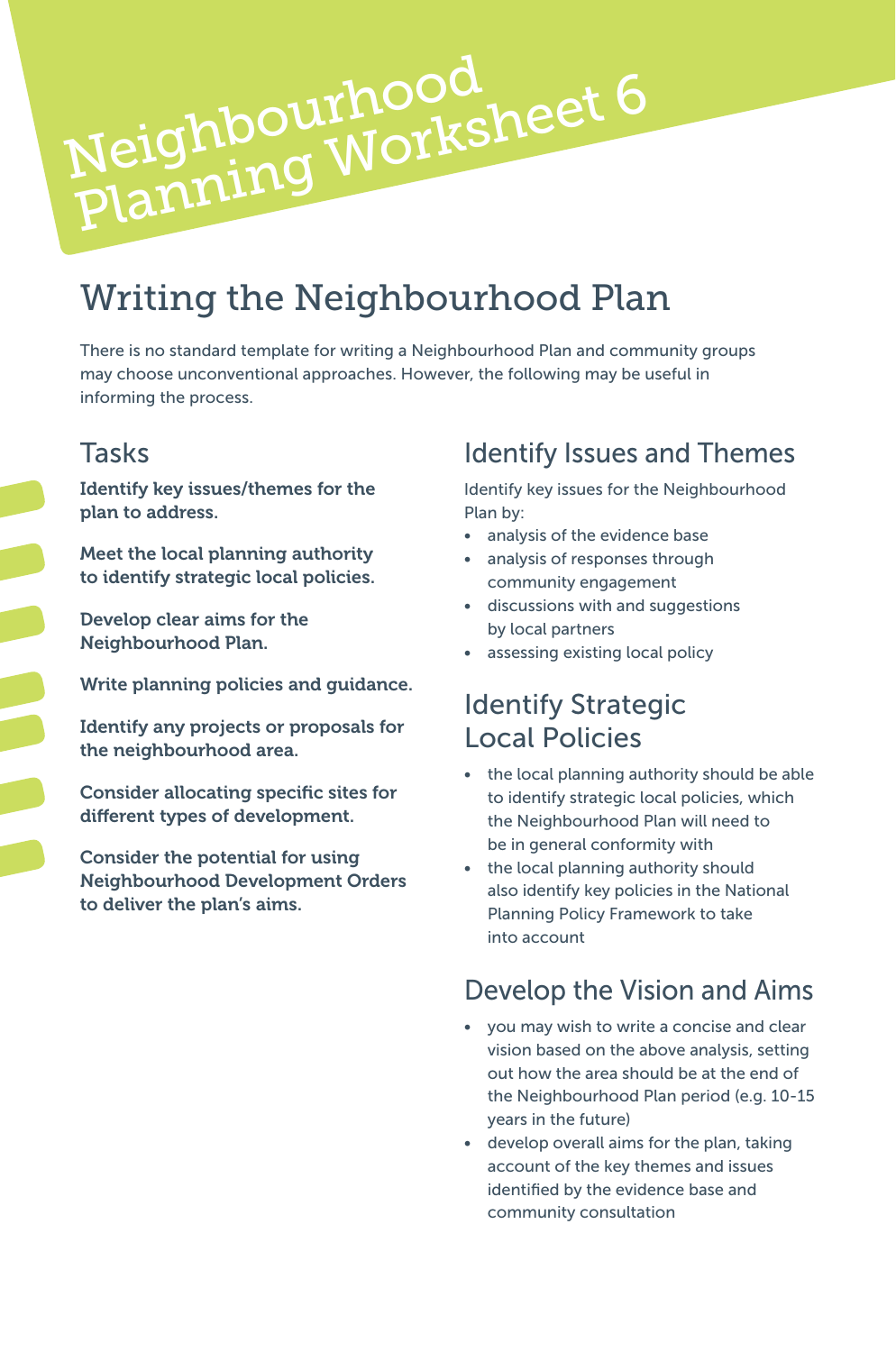# Writing the Neighbourhood Plan

Neighbourhood<br>Planning Worksheet 6

There is no standard template for writing a Neighbourhood Plan and community groups may choose unconventional approaches. However, the following may be useful in informing the process.

#### **Tasks**

Identify key issues/themes for the plan to address.

Neighbourhood

Meet the local planning authority to identify strategic local policies.

Develop clear aims for the Neighbourhood Plan.

Write planning policies and guidance.

Identify any projects or proposals for the neighbourhood area.

Consider allocating specific sites for different types of development.

Consider the potential for using Neighbourhood Development Orders to deliver the plan's aims.

#### Identify Issues and Themes

Identify key issues for the Neighbourhood Plan by:

- analysis of the evidence base
- analysis of responses through community engagement
- discussions with and suggestions by local partners
- assessing existing local policy

#### Identify Strategic Local Policies

- the local planning authority should be able to identify strategic local policies, which the Neighbourhood Plan will need to be in general conformity with
- the local planning authority should also identify key policies in the National Planning Policy Framework to take into account

#### Develop the Vision and Aims

- you may wish to write a concise and clear vision based on the above analysis, setting out how the area should be at the end of the Neighbourhood Plan period (e.g. 10-15 years in the future)
- develop overall aims for the plan, taking account of the key themes and issues identified by the evidence base and community consultation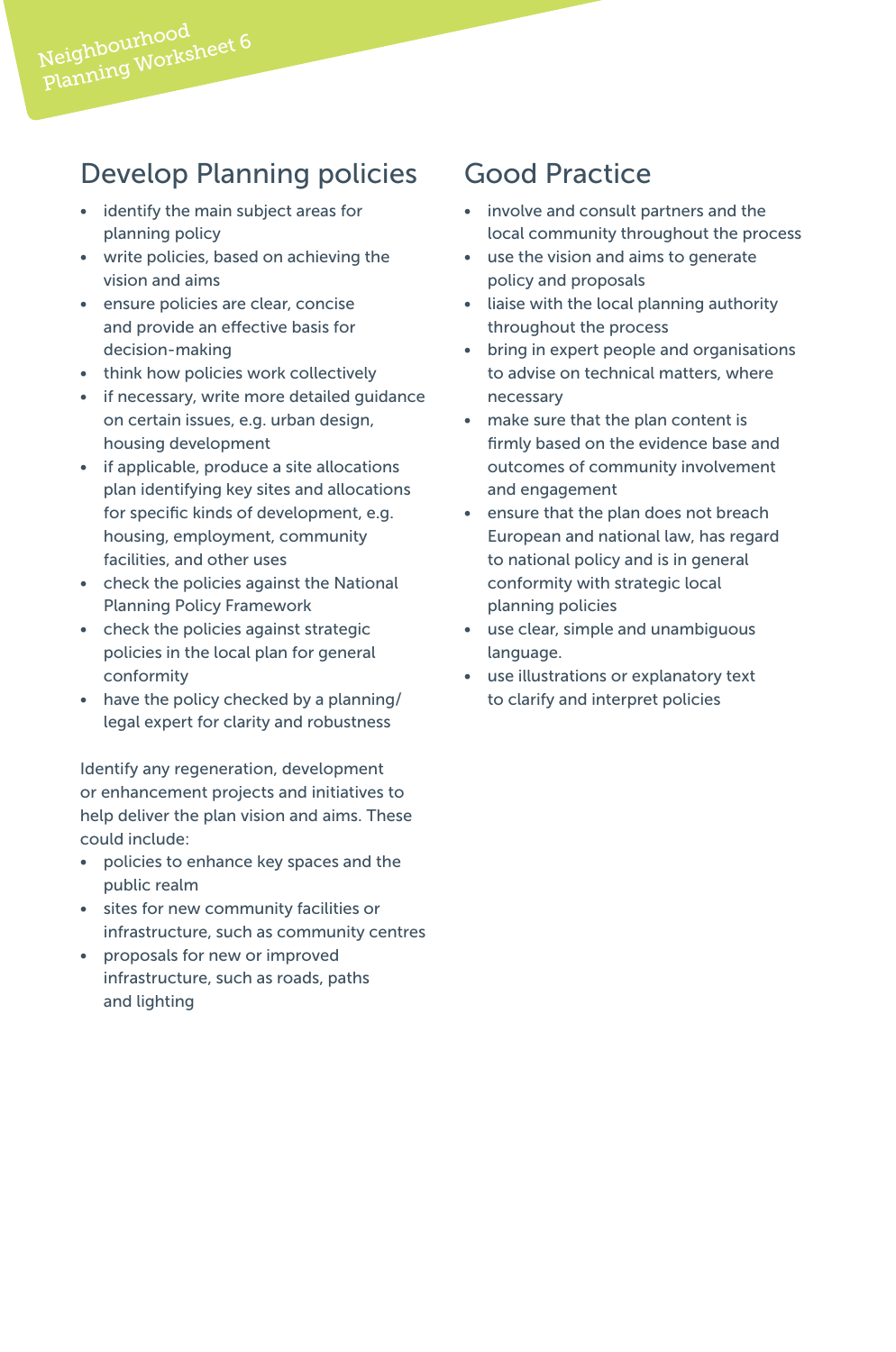# Develop Planning policies

- identify the main subject areas for planning policy
- write policies, based on achieving the vision and aims
- ensure policies are clear, concise and provide an effective basis for decision-making
- think how policies work collectively
- if necessary, write more detailed guidance on certain issues, e.g. urban design, housing development
- if applicable, produce a site allocations plan identifying key sites and allocations for specific kinds of development, e.g. housing, employment, community facilities, and other uses
- check the policies against the National Planning Policy Framework
- check the policies against strategic policies in the local plan for general conformity
- have the policy checked by a planning/ legal expert for clarity and robustness

Identify any regeneration, development or enhancement projects and initiatives to help deliver the plan vision and aims. These could include:

- policies to enhance key spaces and the public realm
- sites for new community facilities or infrastructure, such as community centres
- proposals for new or improved infrastructure, such as roads, paths and lighting

#### Good Practice

- involve and consult partners and the local community throughout the process
- use the vision and aims to generate policy and proposals
- liaise with the local planning authority throughout the process
- bring in expert people and organisations to advise on technical matters, where necessary
- make sure that the plan content is firmly based on the evidence base and outcomes of community involvement and engagement
- ensure that the plan does not breach European and national law, has regard to national policy and is in general conformity with strategic local planning policies
- use clear, simple and unambiguous language.
- use illustrations or explanatory text to clarify and interpret policies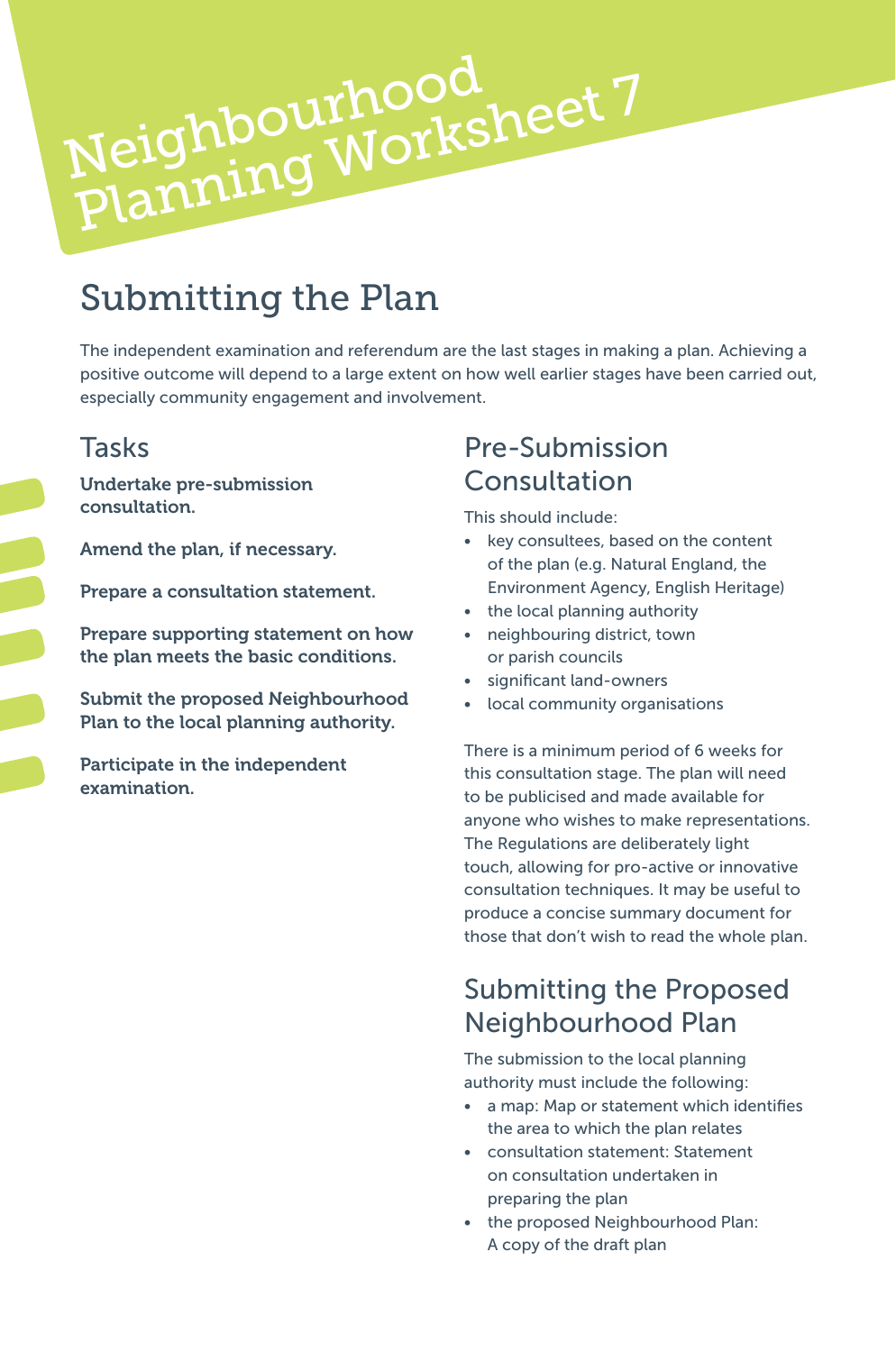# Submitting the Plan

Neighbourhood

Neighbourhood<br>Planning Worksheet 7

The independent examination and referendum are the last stages in making a plan. Achieving a positive outcome will depend to a large extent on how well earlier stages have been carried out, especially community engagement and involvement.

#### **Tasks**

Undertake pre-submission consultation.

Amend the plan, if necessary.

Prepare a consultation statement.

Prepare supporting statement on how the plan meets the basic conditions.

Submit the proposed Neighbourhood Plan to the local planning authority.

Participate in the independent examination.

#### Pre-Submission Consultation

This should include:

- key consultees, based on the content of the plan (e.g. Natural England, the Environment Agency, English Heritage)
- the local planning authority
- neighbouring district, town or parish councils
- significant land-owners
- local community organisations

There is a minimum period of 6 weeks for this consultation stage. The plan will need to be publicised and made available for anyone who wishes to make representations. The Regulations are deliberately light touch, allowing for pro-active or innovative consultation techniques. It may be useful to produce a concise summary document for those that don't wish to read the whole plan.

## Submitting the Proposed Neighbourhood Plan

The submission to the local planning authority must include the following:

- a map: Map or statement which identifies the area to which the plan relates
- consultation statement: Statement on consultation undertaken in preparing the plan
- the proposed Neighbourhood Plan: A copy of the draft plan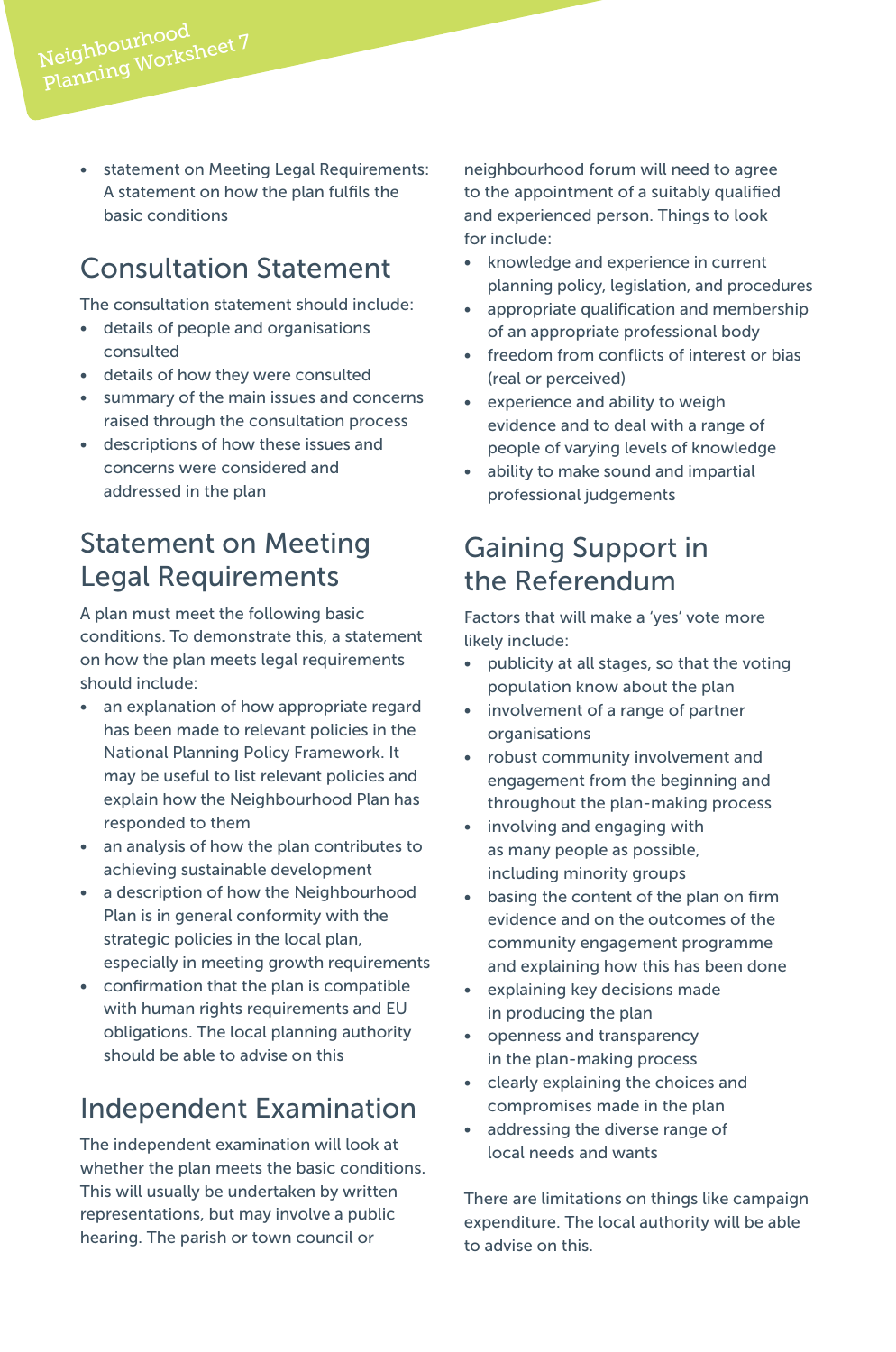• statement on Meeting Legal Requirements: A statement on how the plan fulfils the basic conditions

## Consultation Statement

Neighbourhood<br>Planning Worksheet 7

The consultation statement should include:

- details of people and organisations consulted
- details of how they were consulted
- summary of the main issues and concerns raised through the consultation process
- descriptions of how these issues and concerns were considered and addressed in the plan

## Statement on Meeting Legal Requirements

A plan must meet the following basic conditions. To demonstrate this, a statement on how the plan meets legal requirements should include:

- an explanation of how appropriate regard has been made to relevant policies in the National Planning Policy Framework. It may be useful to list relevant policies and explain how the Neighbourhood Plan has responded to them
- an analysis of how the plan contributes to achieving sustainable development
- a description of how the Neighbourhood Plan is in general conformity with the strategic policies in the local plan, especially in meeting growth requirements
- confirmation that the plan is compatible with human rights requirements and EU obligations. The local planning authority should be able to advise on this

# Independent Examination

The independent examination will look at whether the plan meets the basic conditions. This will usually be undertaken by written representations, but may involve a public hearing. The parish or town council or

neighbourhood forum will need to agree to the appointment of a suitably qualified and experienced person. Things to look for include:

- knowledge and experience in current planning policy, legislation, and procedures
- appropriate qualification and membership of an appropriate professional body
- freedom from conflicts of interest or bias (real or perceived)
- experience and ability to weigh evidence and to deal with a range of people of varying levels of knowledge
- ability to make sound and impartial professional judgements

## Gaining Support in the Referendum

Factors that will make a 'yes' vote more likely include:

- publicity at all stages, so that the voting population know about the plan
- involvement of a range of partner organisations
- robust community involvement and engagement from the beginning and throughout the plan-making process
- involving and engaging with as many people as possible, including minority groups
- basing the content of the plan on firm evidence and on the outcomes of the community engagement programme and explaining how this has been done
- explaining key decisions made in producing the plan
- openness and transparency in the plan-making process
- clearly explaining the choices and compromises made in the plan
- addressing the diverse range of local needs and wants

There are limitations on things like campaign expenditure. The local authority will be able to advise on this.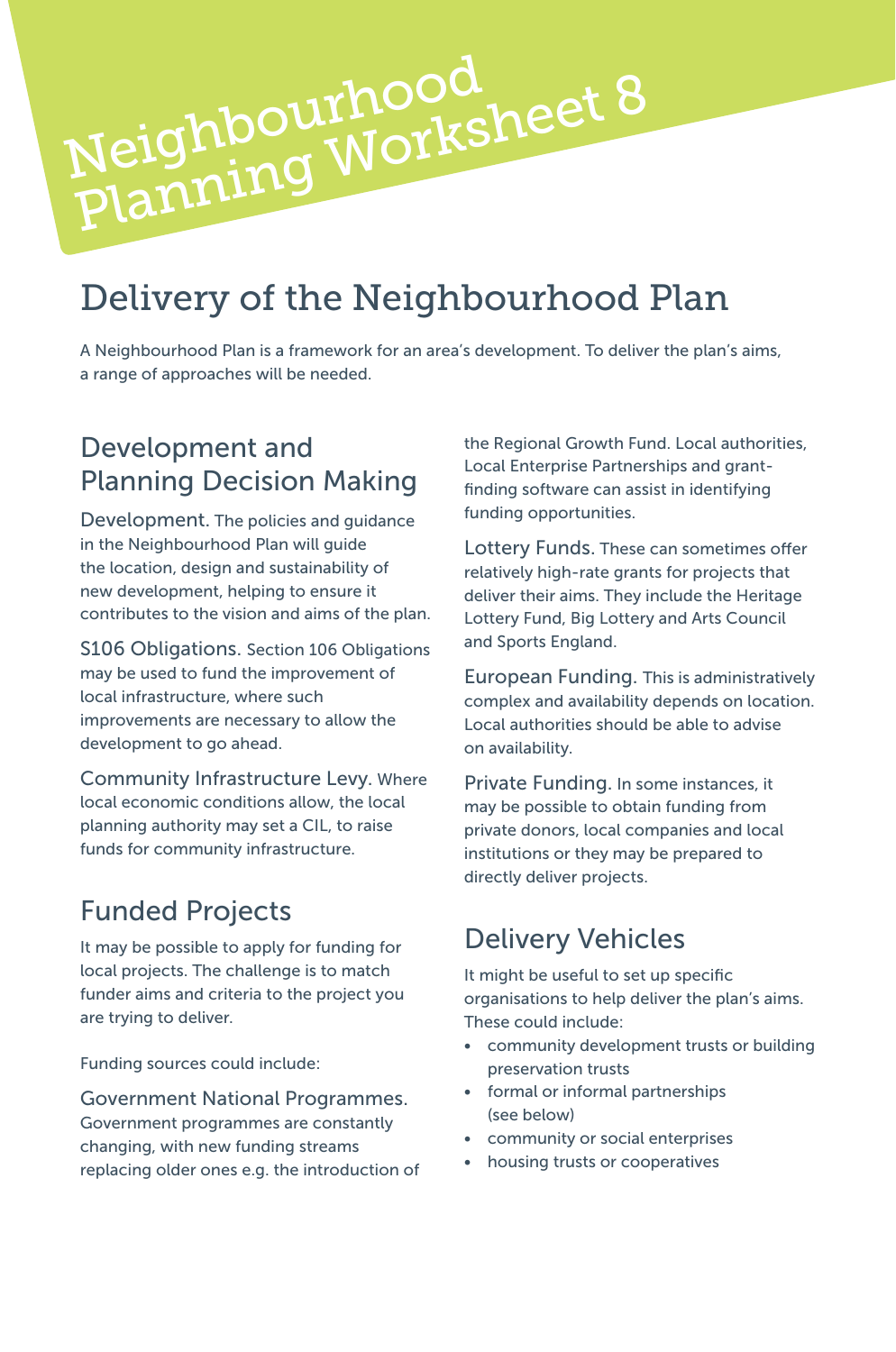# Delivery of the Neighbourhood Plan

Neighbourhood<br>Planning Worksheet 8

A Neighbourhood Plan is a framework for an area's development. To deliver the plan's aims, a range of approaches will be needed.

#### Development and Planning Decision Making

Neighbourhood

Development. The policies and guidance in the Neighbourhood Plan will guide the location, design and sustainability of new development, helping to ensure it contributes to the vision and aims of the plan.

S106 Obligations. Section 106 Obligations may be used to fund the improvement of local infrastructure, where such improvements are necessary to allow the development to go ahead.

Community Infrastructure Levy. Where local economic conditions allow, the local planning authority may set a CIL, to raise funds for community infrastructure.

#### Funded Projects

It may be possible to apply for funding for local projects. The challenge is to match funder aims and criteria to the project you are trying to deliver.

Funding sources could include:

#### Government National Programmes.

Government programmes are constantly changing, with new funding streams replacing older ones e.g. the introduction of the Regional Growth Fund. Local authorities, Local Enterprise Partnerships and grantfinding software can assist in identifying funding opportunities.

Lottery Funds. These can sometimes offer relatively high-rate grants for projects that deliver their aims. They include the Heritage Lottery Fund, Big Lottery and Arts Council and Sports England.

European Funding. This is administratively complex and availability depends on location. Local authorities should be able to advise on availability.

Private Funding. In some instances, it may be possible to obtain funding from private donors, local companies and local institutions or they may be prepared to directly deliver projects.

#### Delivery Vehicles

It might be useful to set up specific organisations to help deliver the plan's aims. These could include:

- community development trusts or building preservation trusts
- formal or informal partnerships (see below)
- community or social enterprises
- housing trusts or cooperatives